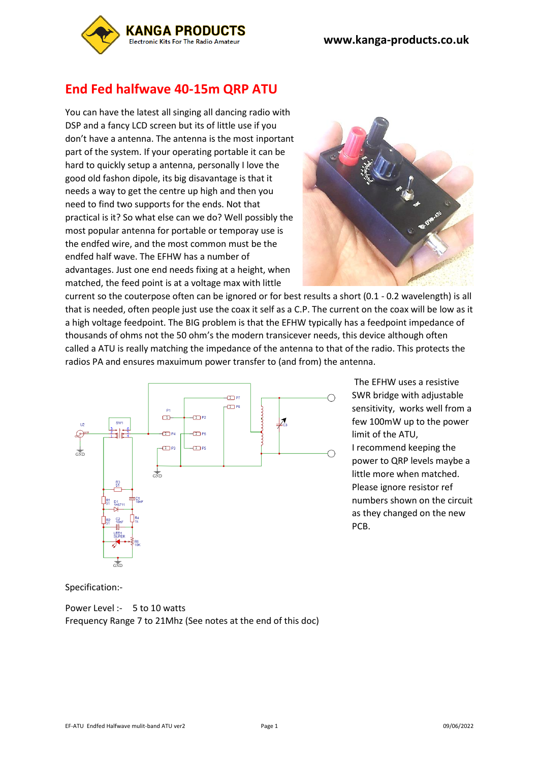

# **End Fed halfwave 40-15m QRP ATU**

You can have the latest all singing all dancing radio with DSP and a fancy LCD screen but its of little use if you don't have a antenna. The antenna is the most inportant part of the system. If your operating portable it can be hard to quickly setup a antenna, personally I love the good old fashon dipole, its big disavantage is that it needs a way to get the centre up high and then you need to find two supports for the ends. Not that practical is it? So what else can we do? Well possibly the most popular antenna for portable or temporay use is the endfed wire, and the most common must be the endfed half wave. The EFHW has a number of advantages. Just one end needs fixing at a height, when matched, the feed point is at a voltage max with little



current so the couterpose often can be ignored or for best results a short (0.1 - 0.2 wavelength) is all that is needed, often people just use the coax it self as a C.P. The current on the coax will be low as it a high voltage feedpoint. The BIG problem is that the EFHW typically has a feedpoint impedance of thousands of ohms not the 50 ohm's the modern transicever needs, this device although often called a ATU is really matching the impedance of the antenna to that of the radio. This protects the radios PA and ensures maxuimum power transfer to (and from) the antenna.



The EFHW uses a resistive SWR bridge with adjustable sensitivity, works well from a few 100mW up to the power limit of the ATU,

I recommend keeping the power to QRP levels maybe a little more when matched. Please ignore resistor ref numbers shown on the circuit as they changed on the new PCB.

Specification:-

Power Level :- 5 to 10 watts Frequency Range 7 to 21Mhz (See notes at the end of this doc)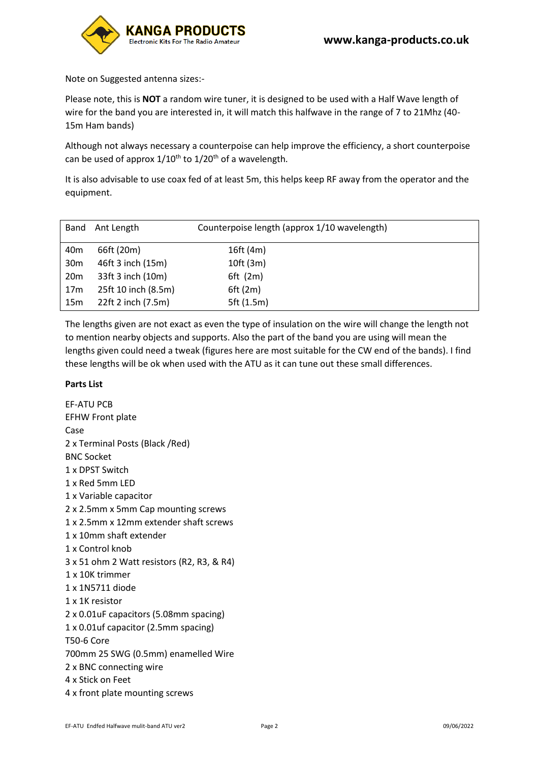

Note on Suggested antenna sizes:-

Please note, this is **NOT** a random wire tuner, it is designed to be used with a Half Wave length of wire for the band you are interested in, it will match this halfwave in the range of 7 to 21Mhz (40- 15m Ham bands)

Although not always necessary a counterpoise can help improve the efficiency, a short counterpoise can be used of approx  $1/10^{th}$  to  $1/20^{th}$  of a wavelength.

It is also advisable to use coax fed of at least 5m, this helps keep RF away from the operator and the equipment.

| Band            | Ant Length          | Counterpoise length (approx 1/10 wavelength) |
|-----------------|---------------------|----------------------------------------------|
| 40m             | 66ft (20m)          | 16ft (4m)                                    |
| 30m             | 46ft 3 inch (15m)   | 10ft(3m)                                     |
| 20 <sub>m</sub> | 33ft 3 inch (10m)   | $6ft$ (2m)                                   |
| 17 <sub>m</sub> | 25ft 10 inch (8.5m) | 6ft(2m)                                      |
| 15 <sub>m</sub> | 22ft 2 inch (7.5m)  | 5ft (1.5m)                                   |

The lengths given are not exact as even the type of insulation on the wire will change the length not to mention nearby objects and supports. Also the part of the band you are using will mean the lengths given could need a tweak (figures here are most suitable for the CW end of the bands). I find these lengths will be ok when used with the ATU as it can tune out these small differences.

### **Parts List**

EF-ATU PCB EFHW Front plate Case 2 x Terminal Posts (Black /Red) BNC Socket 1 x DPST Switch 1 x Red 5mm LED 1 x Variable capacitor 2 x 2.5mm x 5mm Cap mounting screws 1 x 2.5mm x 12mm extender shaft screws 1 x 10mm shaft extender 1 x Control knob 3 x 51 ohm 2 Watt resistors (R2, R3, & R4) 1 x 10K trimmer 1 x 1N5711 diode 1 x 1K resistor 2 x 0.01uF capacitors (5.08mm spacing) 1 x 0.01uf capacitor (2.5mm spacing) T50-6 Core 700mm 25 SWG (0.5mm) enamelled Wire 2 x BNC connecting wire 4 x Stick on Feet 4 x front plate mounting screws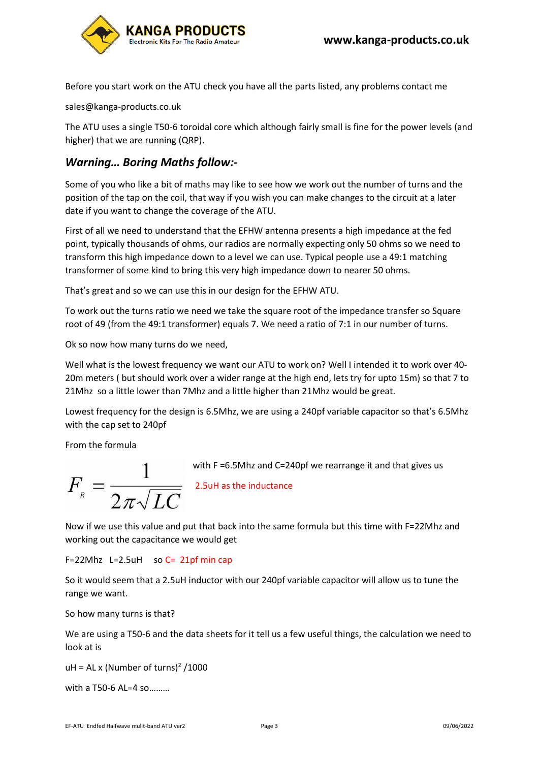Before you start work on the ATU check you have all the parts listed, any problems contact me

sales@kanga-products.co.uk

The ATU uses a single T50-6 toroidal core which although fairly small is fine for the power levels (and higher) that we are running (QRP).

# *Warning… Boring Maths follow:-*

Some of you who like a bit of maths may like to see how we work out the number of turns and the position of the tap on the coil, that way if you wish you can make changes to the circuit at a later date if you want to change the coverage of the ATU.

First of all we need to understand that the EFHW antenna presents a high impedance at the fed point, typically thousands of ohms, our radios are normally expecting only 50 ohms so we need to transform this high impedance down to a level we can use. Typical people use a 49:1 matching transformer of some kind to bring this very high impedance down to nearer 50 ohms.

That's great and so we can use this in our design for the EFHW ATU.

To work out the turns ratio we need we take the square root of the impedance transfer so Square root of 49 (from the 49:1 transformer) equals 7. We need a ratio of 7:1 in our number of turns.

Ok so now how many turns do we need,

Well what is the lowest frequency we want our ATU to work on? Well I intended it to work over 40- 20m meters ( but should work over a wider range at the high end, lets try for upto 15m) so that 7 to 21Mhz so a little lower than 7Mhz and a little higher than 21Mhz would be great.

Lowest frequency for the design is 6.5Mhz, we are using a 240pf variable capacitor so that's 6.5Mhz with the cap set to 240pf

From the formula

$$
F_{\scriptscriptstyle R} = \frac{1}{2\pi\sqrt{LC}}
$$

with F =6.5Mhz and C=240pf we rearrange it and that gives us

2.5uH as the inductance

Now if we use this value and put that back into the same formula but this time with F=22Mhz and working out the capacitance we would get

 $F=22M$ hz L=2.5uH so C= 21pf min cap

So it would seem that a 2.5uH inductor with our 240pf variable capacitor will allow us to tune the range we want.

So how many turns is that?

We are using a T50-6 and the data sheets for it tell us a few useful things, the calculation we need to look at is

 $uH = AL \times (Number of turns)^2 / 1000$ 

with a T50-6 AL=4 so………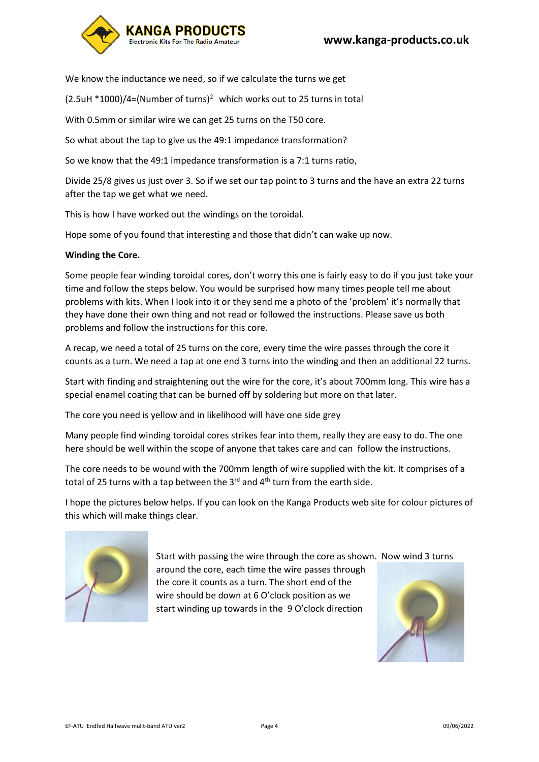

We know the inductance we need, so if we calculate the turns we get

 $(2.5$ uH \*1000)/4=(Number of turns)<sup>2</sup> which works out to 25 turns in total

With 0.5mm or similar wire we can get 25 turns on the T50 core.

So what about the tap to give us the 49:1 impedance transformation?

So we know that the 49:1 impedance transformation is a 7:1 turns ratio,

Divide 25/8 gives us just over 3. So if we set our tap point to 3 turns and the have an extra 22 turns after the tap we get what we need.

This is how I have worked out the windings on the toroidal.

Hope some of you found that interesting and those that didn't can wake up now.

### **Winding the Core.**

Some people fear winding toroidal cores, don't worry this one is fairly easy to do if you just take your time and follow the steps below. You would be surprised how many times people tell me about problems with kits. When I look into it or they send me a photo of the 'problem' it's normally that they have done their own thing and not read or followed the instructions. Please save us both problems and follow the instructions for this core.

A recap, we need a total of 25 turns on the core, every time the wire passes through the core it counts as a turn. We need a tap at one end 3 turns into the winding and then an additional 22 turns.

Start with finding and straightening out the wire for the core, it's about 700mm long. This wire has a special enamel coating that can be burned off by soldering but more on that later.

The core you need is yellow and in likelihood will have one side grey

Many people find winding toroidal cores strikes fear into them, really they are easy to do. The one here should be well within the scope of anyone that takes care and can follow the instructions.

The core needs to be wound with the 700mm length of wire supplied with the kit. It comprises of a total of 25 turns with a tap between the  $3^{rd}$  and  $4^{th}$  turn from the earth side.

I hope the pictures below helps. If you can look on the Kanga Products web site for colour pictures of this which will make things clear.



Start with passing the wire through the core as shown. Now wind 3 turns around the core, each time the wire passes through the core it counts as a turn. The short end of the wire should be down at 6 O'clock position as we start winding up towards in the 9 O'clock direction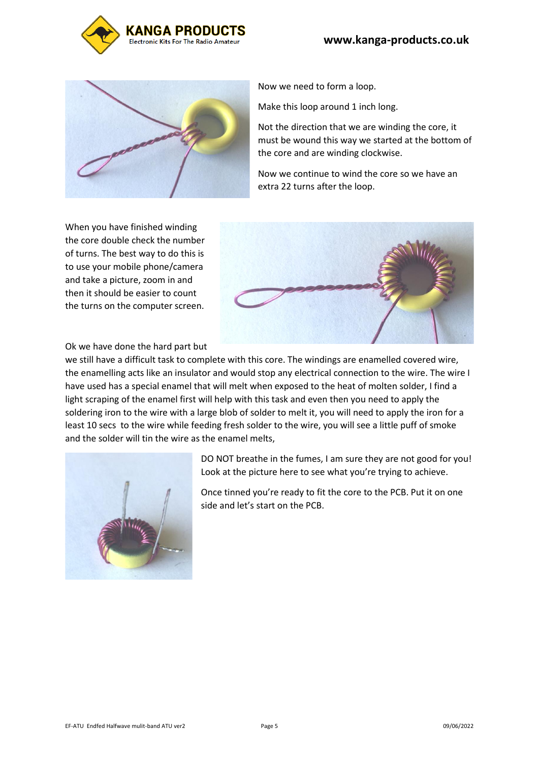



Now we need to form a loop.

Make this loop around 1 inch long.

Not the direction that we are winding the core, it must be wound this way we started at the bottom of the core and are winding clockwise.

Now we continue to wind the core so we have an extra 22 turns after the loop.

When you have finished winding the core double check the number of turns. The best way to do this is to use your mobile phone/camera and take a picture, zoom in and then it should be easier to count the turns on the computer screen.



Ok we have done the hard part but

we still have a difficult task to complete with this core. The windings are enamelled covered wire, the enamelling acts like an insulator and would stop any electrical connection to the wire. The wire I have used has a special enamel that will melt when exposed to the heat of molten solder, I find a light scraping of the enamel first will help with this task and even then you need to apply the soldering iron to the wire with a large blob of solder to melt it, you will need to apply the iron for a least 10 secs to the wire while feeding fresh solder to the wire, you will see a little puff of smoke and the solder will tin the wire as the enamel melts,



DO NOT breathe in the fumes, I am sure they are not good for you! Look at the picture here to see what you're trying to achieve.

Once tinned you're ready to fit the core to the PCB. Put it on one side and let's start on the PCB.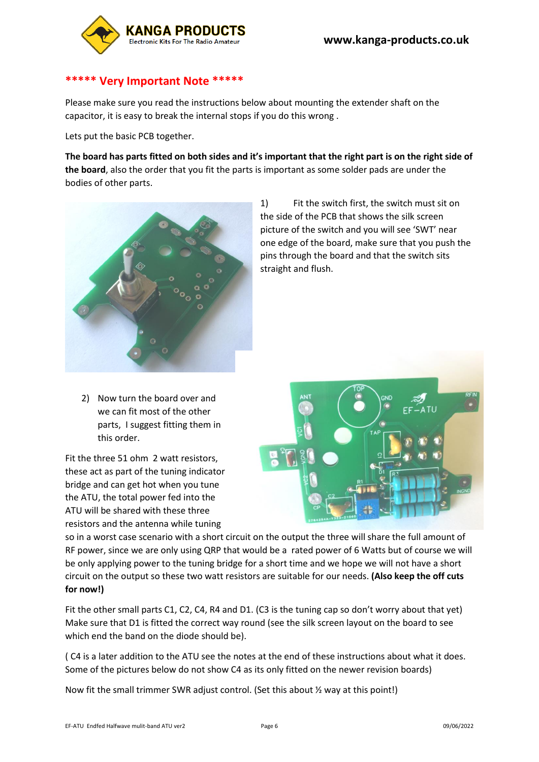

### **\*\*\*\*\* Very Important Note \*\*\*\*\***

Please make sure you read the instructions below about mounting the extender shaft on the capacitor, it is easy to break the internal stops if you do this wrong .

Lets put the basic PCB together.

**The board has parts fitted on both sides and it's important that the right part is on the right side of the board**, also the order that you fit the parts is important as some solder pads are under the bodies of other parts.



1) Fit the switch first, the switch must sit on the side of the PCB that shows the silk screen picture of the switch and you will see 'SWT' near one edge of the board, make sure that you push the pins through the board and that the switch sits straight and flush.

2) Now turn the board over and we can fit most of the other parts, I suggest fitting them in this order.

Fit the three 51 ohm 2 watt resistors, these act as part of the tuning indicator bridge and can get hot when you tune the ATU, the total power fed into the ATU will be shared with these three resistors and the antenna while tuning



so in a worst case scenario with a short circuit on the output the three will share the full amount of RF power, since we are only using QRP that would be a rated power of 6 Watts but of course we will be only applying power to the tuning bridge for a short time and we hope we will not have a short circuit on the output so these two watt resistors are suitable for our needs. **(Also keep the off cuts for now!)**

Fit the other small parts C1, C2, C4, R4 and D1. (C3 is the tuning cap so don't worry about that yet) Make sure that D1 is fitted the correct way round (see the silk screen layout on the board to see which end the band on the diode should be).

( C4 is a later addition to the ATU see the notes at the end of these instructions about what it does. Some of the pictures below do not show C4 as its only fitted on the newer revision boards)

Now fit the small trimmer SWR adjust control. (Set this about ½ way at this point!)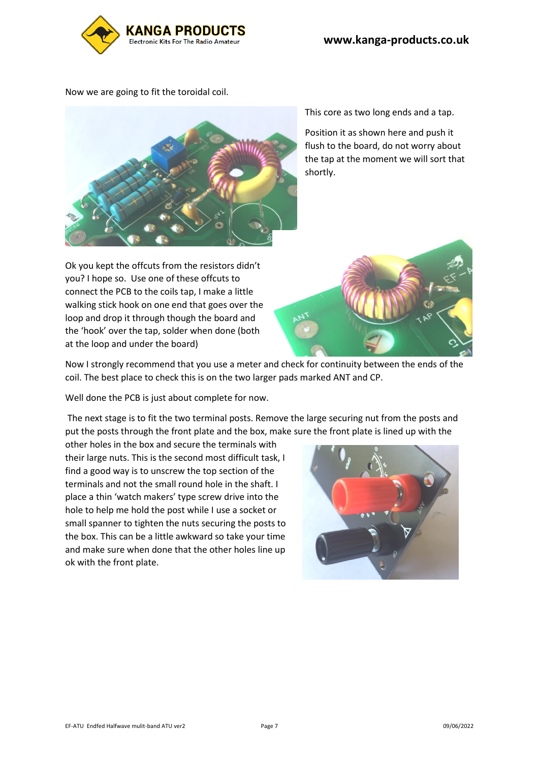

Now we are going to fit the toroidal coil.



Ok you kept the offcuts from the resistors didn't you? I hope so. Use one of these offcuts to connect the PCB to the coils tap, I make a little walking stick hook on one end that goes over the loop and drop it through though the board and the 'hook' over the tap, solder when done (both at the loop and under the board)

This core as two long ends and a tap.

Position it as shown here and push it flush to the board, do not worry about the tap at the moment we will sort that shortly.



Now I strongly recommend that you use a meter and check for continuity between the ends of the coil. The best place to check this is on the two larger pads marked ANT and CP.

Well done the PCB is just about complete for now.

The next stage is to fit the two terminal posts. Remove the large securing nut from the posts and put the posts through the front plate and the box, make sure the front plate is lined up with the

other holes in the box and secure the terminals with their large nuts. This is the second most difficult task, I find a good way is to unscrew the top section of the terminals and not the small round hole in the shaft. I place a thin 'watch makers' type screw drive into the hole to help me hold the post while I use a socket or small spanner to tighten the nuts securing the posts to the box. This can be a little awkward so take your time and make sure when done that the other holes line up ok with the front plate.

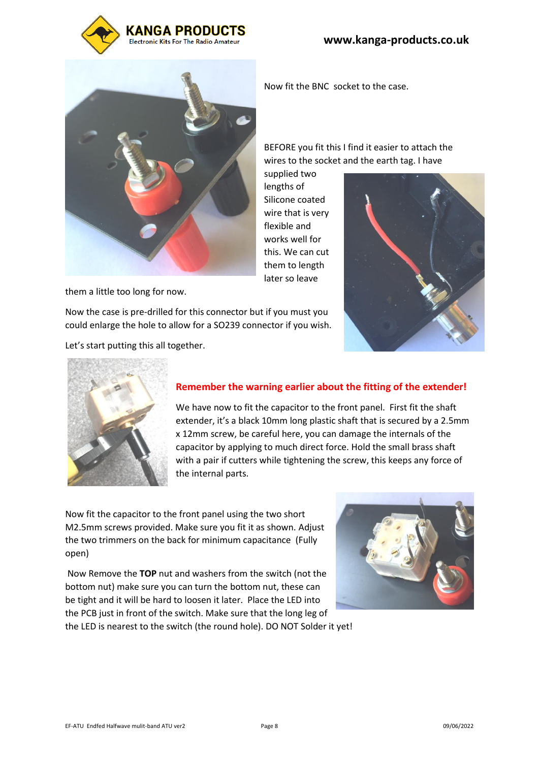



them a little too long for now.

Now the case is pre-drilled for this connector but if you must you

could enlarge the hole to allow for a SO239 connector if you wish.

Let's start putting this all together.

Now fit the BNC socket to the case.

BEFORE you fit this I find it easier to attach the wires to the socket and the earth tag. I have

supplied two lengths of Silicone coated wire that is very flexible and works well for this. We can cut them to length later so leave





# **Remember the warning earlier about the fitting of the extender!**

We have now to fit the capacitor to the front panel. First fit the shaft extender, it's a black 10mm long plastic shaft that is secured by a 2.5mm x 12mm screw, be careful here, you can damage the internals of the capacitor by applying to much direct force. Hold the small brass shaft with a pair if cutters while tightening the screw, this keeps any force of the internal parts.

Now fit the capacitor to the front panel using the two short M2.5mm screws provided. Make sure you fit it as shown. Adjust the two trimmers on the back for minimum capacitance (Fully open)

Now Remove the **TOP** nut and washers from the switch (not the bottom nut) make sure you can turn the bottom nut, these can be tight and it will be hard to loosen it later. Place the LED into the PCB just in front of the switch. Make sure that the long leg of the LED is nearest to the switch (the round hole). DO NOT Solder it yet!

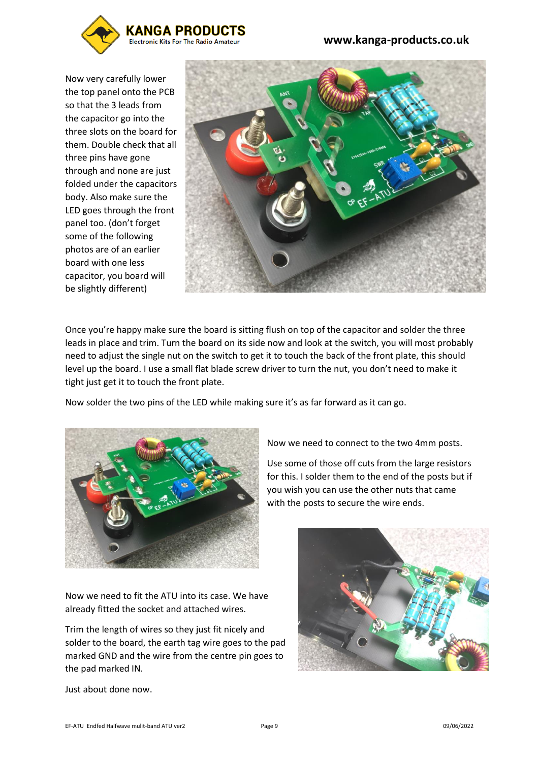

 **www.kanga-products.co.uk**

Now very carefully lower the top panel onto the PCB so that the 3 leads from the capacitor go into the three slots on the board for them. Double check that all three pins have gone through and none are just folded under the capacitors body. Also make sure the LED goes through the front panel too. (don't forget some of the following photos are of an earlier board with one less capacitor, you board will be slightly different)



Once you're happy make sure the board is sitting flush on top of the capacitor and solder the three leads in place and trim. Turn the board on its side now and look at the switch, you will most probably need to adjust the single nut on the switch to get it to touch the back of the front plate, this should level up the board. I use a small flat blade screw driver to turn the nut, you don't need to make it tight just get it to touch the front plate.

Now solder the two pins of the LED while making sure it's as far forward as it can go.



Now we need to connect to the two 4mm posts.

Use some of those off cuts from the large resistors for this. I solder them to the end of the posts but if you wish you can use the other nuts that came with the posts to secure the wire ends.

Now we need to fit the ATU into its case. We have already fitted the socket and attached wires.

Trim the length of wires so they just fit nicely and solder to the board, the earth tag wire goes to the pad marked GND and the wire from the centre pin goes to the pad marked IN.



Just about done now.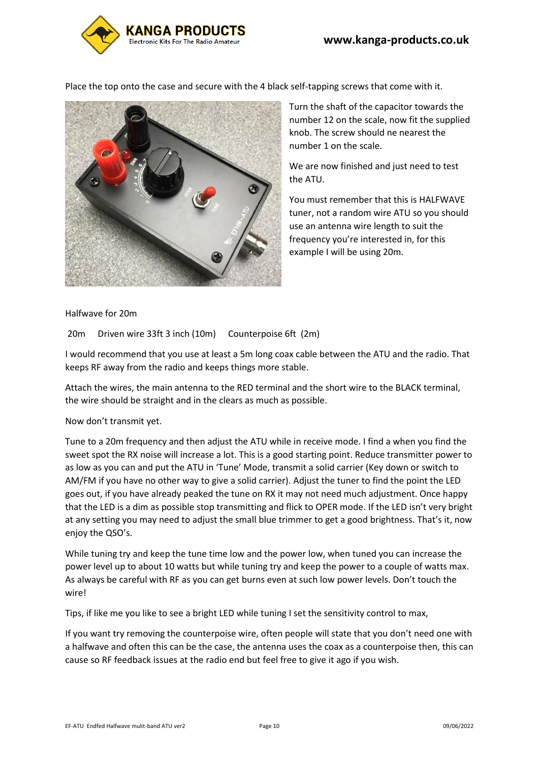

Place the top onto the case and secure with the 4 black self-tapping screws that come with it.



Turn the shaft of the capacitor towards the number 12 on the scale, now fit the supplied knob. The screw should ne nearest the number 1 on the scale.

We are now finished and just need to test the ATU.

You must remember that this is HALFWAVE tuner, not a random wire ATU so you should use an antenna wire length to suit the frequency you're interested in, for this example I will be using 20m.

### Halfwave for 20m

20m Driven wire 33ft 3 inch (10m) Counterpoise 6ft (2m)

I would recommend that you use at least a 5m long coax cable between the ATU and the radio. That keeps RF away from the radio and keeps things more stable.

Attach the wires, the main antenna to the RED terminal and the short wire to the BLACK terminal, the wire should be straight and in the clears as much as possible.

Now don't transmit yet.

Tune to a 20m frequency and then adjust the ATU while in receive mode. I find a when you find the sweet spot the RX noise will increase a lot. This is a good starting point. Reduce transmitter power to as low as you can and put the ATU in 'Tune' Mode, transmit a solid carrier (Key down or switch to AM/FM if you have no other way to give a solid carrier). Adjust the tuner to find the point the LED goes out, if you have already peaked the tune on RX it may not need much adjustment. Once happy that the LED is a dim as possible stop transmitting and flick to OPER mode. If the LED isn't very bright at any setting you may need to adjust the small blue trimmer to get a good brightness. That's it, now enjoy the QSO's.

While tuning try and keep the tune time low and the power low, when tuned you can increase the power level up to about 10 watts but while tuning try and keep the power to a couple of watts max. As always be careful with RF as you can get burns even at such low power levels. Don't touch the wire!

Tips, if like me you like to see a bright LED while tuning I set the sensitivity control to max,

If you want try removing the counterpoise wire, often people will state that you don't need one with a halfwave and often this can be the case, the antenna uses the coax as a counterpoise then, this can cause so RF feedback issues at the radio end but feel free to give it ago if you wish.